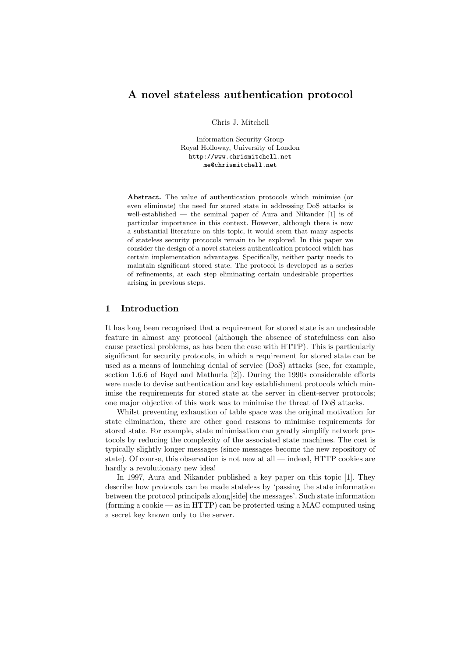# **A novel stateless authentication protocol**

Chris J. Mitchell

Information Security Group Royal Holloway, University of London http://www.chrismitchell.net me@chrismitchell.net

**Abstract.** The value of authentication protocols which minimise (or even eliminate) the need for stored state in addressing DoS attacks is well-established — the seminal paper of Aura and Nikander [1] is of particular importance in this context. However, although there is now a substantial literature on this topic, it would seem that many aspects of stateless security protocols remain to be explored. In this paper we consider the design of a novel stateless authentication protocol which has certain implementation advantages. Specifically, neither party needs to maintain significant stored state. The protocol is developed as a series of refinements, at each step eliminating certain undesirable properties arising in previous steps.

### **1 Introduction**

It has long been recognised that a requirement for stored state is an undesirable feature in almost any protocol (although the absence of statefulness can also cause practical problems, as has been the case with HTTP). This is particularly significant for security protocols, in which a requirement for stored state can be used as a means of launching denial of service (DoS) attacks (see, for example, section 1.6.6 of Boyd and Mathuria [2]). During the 1990s considerable efforts were made to devise authentication and key establishment protocols which minimise the requirements for stored state at the server in client-server protocols; one major objective of this work was to minimise the threat of DoS attacks.

Whilst preventing exhaustion of table space was the original motivation for state elimination, there are other good reasons to minimise requirements for stored state. For example, state minimisation can greatly simplify network protocols by reducing the complexity of the associated state machines. The cost is typically slightly longer messages (since messages become the new repository of state). Of course, this observation is not new at all — indeed, HTTP cookies are hardly a revolutionary new idea!

In 1997, Aura and Nikander published a key paper on this topic [1]. They describe how protocols can be made stateless by 'passing the state information between the protocol principals along[side] the messages'. Such state information (forming a cookie — as in HTTP) can be protected using a MAC computed using a secret key known only to the server.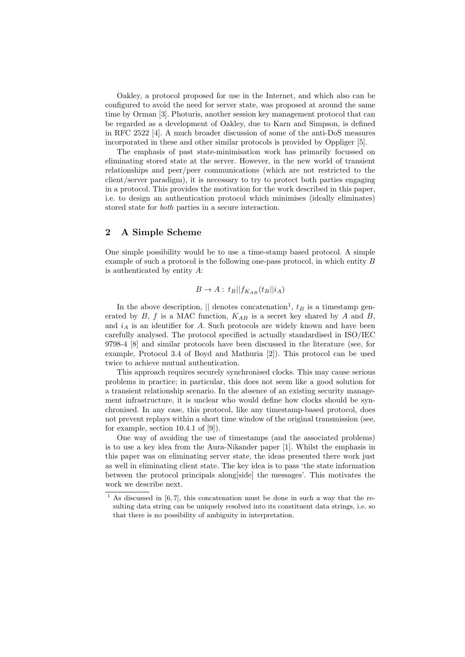Oakley, a protocol proposed for use in the Internet, and which also can be configured to avoid the need for server state, was proposed at around the same time by Orman [3]. Photuris, another session key management protocol that can be regarded as a development of Oakley, due to Karn and Simpson, is defined in RFC 2522 [4]. A much broader discussion of some of the anti-DoS measures incorporated in these and other similar protocols is provided by Oppliger [5].

The emphasis of past state-minimisation work has primarily focussed on eliminating stored state at the server. However, in the new world of transient relationships and peer/peer communications (which are not restricted to the client/server paradigm), it is necessary to try to protect both parties engaging in a protocol. This provides the motivation for the work described in this paper, i.e. to design an authentication protocol which minimises (ideally eliminates) stored state for *both* parties in a secure interaction.

### **2 A Simple Scheme**

One simple possibility would be to use a time-stamp based protocol. A simple example of such a protocol is the following one-pass protocol, in which entity *B* is authenticated by entity *A*:

$$
B \to A : t_B || f_{K_{AB}}(t_B || i_A)
$$

In the above description,  $\parallel$  denotes concatenation<sup>1</sup>,  $t_B$  is a timestamp generated by  $B$ ,  $f$  is a MAC function,  $K_{AB}$  is a secret key shared by  $A$  and  $B$ , and  $i_A$  is an identifier for  $A$ . Such protocols are widely known and have been carefully analysed. The protocol specified is actually standardised in ISO/IEC 9798-4 [8] and similar protocols have been discussed in the literature (see, for example, Protocol 3.4 of Boyd and Mathuria [2]). This protocol can be used twice to achieve mutual authentication.

This approach requires securely synchronised clocks. This may cause serious problems in practice; in particular, this does not seem like a good solution for a transient relationship scenario. In the absence of an existing security management infrastructure, it is unclear who would define how clocks should be synchronised. In any case, this protocol, like any timestamp-based protocol, does not prevent replays within a short time window of the original transmission (see, for example, section  $10.4.1$  of  $[9]$ ).

One way of avoiding the use of timestamps (and the associated problems) is to use a key idea from the Aura-Nikander paper [1]. Whilst the emphasis in this paper was on eliminating server state, the ideas presented there work just as well in eliminating client state. The key idea is to pass 'the state information between the protocol principals along[side] the messages'. This motivates the work we describe next.

 $1$  As discussed in [6, 7], this concatenation must be done in such a way that the resulting data string can be uniquely resolved into its constituent data strings, i.e. so that there is no possibility of ambiguity in interpretation.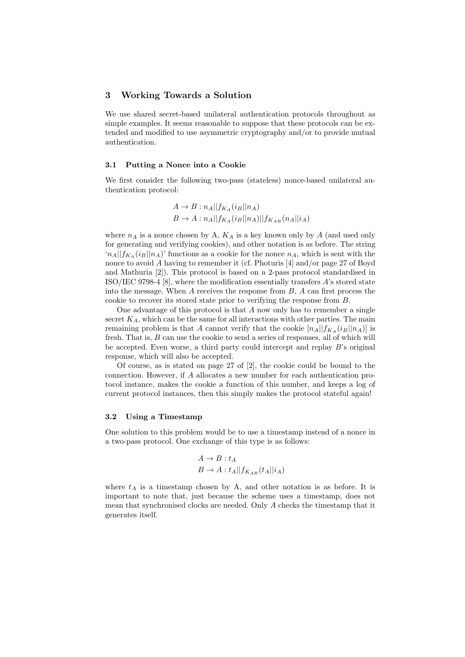### **3 Working Towards a Solution**

We use shared secret-based unilateral authentication protocols throughout as simple examples. It seems reasonable to suppose that these protocols can be extended and modified to use asymmetric cryptography and/or to provide mutual authentication.

#### **3.1 Putting a Nonce into a Cookie**

We first consider the following two-pass (stateless) nonce-based unilateral authentication protocol:

$$
A \to B : n_A || f_{K_A}(i_B || n_A)
$$
  

$$
B \to A : n_A || f_{K_A}(i_B || n_A) || f_{K_{AB}}(n_A || i_A)
$$

where  $n_A$  is a nonce chosen by A,  $K_A$  is a key known only by A (and used only for generating and verifying cookies), and other notation is as before. The string  $\langle n_A || f_{K_A}(i_B || n_A) \rangle$  functions as a cookie for the nonce  $n_A$ , which is sent with the nonce to avoid *A* having to remember it (cf. Photuris [4] and/or page 27 of Boyd and Mathuria [2]). This protocol is based on a 2-pass protocol standardised in ISO/IEC 9798-4 [8], where the modification essentially transfers *A*'s stored state into the message. When *A* receives the response from *B*, *A* can first process the cookie to recover its stored state prior to verifying the response from *B*.

One advantage of this protocol is that *A* now only has to remember a single secret  $K_A$ , which can be the same for all interactions with other parties. The main remaining problem is that *A* cannot verify that the cookie  $[n_A||f_{K_A}(i_B||n_A)]$  is fresh. That is, *B* can use the cookie to send a series of responses, all of which will be accepted. Even worse, a third party could intercept and replay *B*'s original response, which will also be accepted.

Of course, as is stated on page 27 of [2], the cookie could be bound to the connection. However, if *A* allocates a new number for each authentication protocol instance, makes the cookie a function of this number, and keeps a log of current protocol instances, then this simply makes the protocol stateful again!

#### **3.2 Using a Timestamp**

One solution to this problem would be to use a timestamp instead of a nonce in a two-pass protocol. One exchange of this type is as follows:

$$
A \to B : t_A
$$
  

$$
B \to A : t_A || f_{K_{AB}}(t_A || i_A)
$$

where  $t_A$  is a timestamp chosen by A, and other notation is as before. It is important to note that, just because the scheme uses a timestamp, does not mean that synchronised clocks are needed. Only *A* checks the timestamp that it generates itself.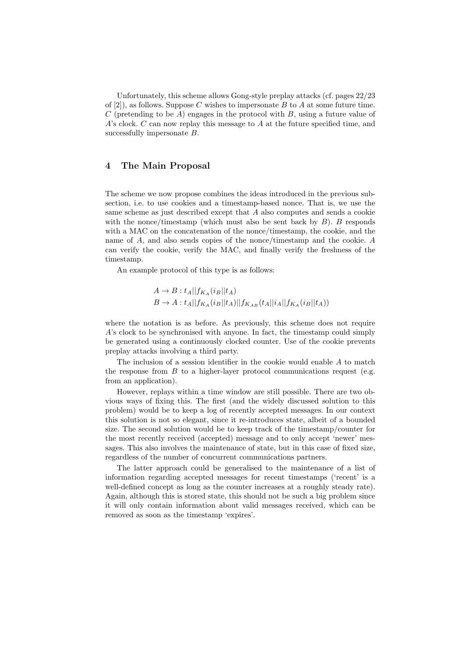Unfortunately, this scheme allows Gong-style preplay attacks (cf. pages 22/23 of [2]), as follows. Suppose *C* wishes to impersonate *B* to *A* at some future time. *C* (pretending to be *A*) engages in the protocol with *B*, using a future value of *A*'s clock. *C* can now replay this message to *A* at the future specified time, and successfully impersonate *B*.

# **4 The Main Proposal**

The scheme we now propose combines the ideas introduced in the previous subsection, i.e. to use cookies and a timestamp-based nonce. That is, we use the same scheme as just described except that *A* also computes and sends a cookie with the nonce/timestamp (which must also be sent back by  $B$ ).  $B$  responds with a MAC on the concatenation of the nonce/timestamp, the cookie, and the name of *A*, and also sends copies of the nonce/timestamp and the cookie. *A* can verify the cookie, verify the MAC, and finally verify the freshness of the timestamp.

An example protocol of this type is as follows:

$$
A \to B : t_A || f_{K_A}(i_B || t_A)
$$
  
\n
$$
B \to A : t_A || f_{K_A}(i_B || t_A) || f_{K_{AB}}(t_A || i_A || f_{K_A}(i_B || t_A))
$$

where the notation is as before. As previously, this scheme does not require *A*'s clock to be synchronised with anyone. In fact, the timestamp could simply be generated using a continuously clocked counter. Use of the cookie prevents preplay attacks involving a third party.

The inclusion of a session identifier in the cookie would enable *A* to match the response from *B* to a higher-layer protocol communications request (e.g. from an application).

However, replays within a time window are still possible. There are two obvious ways of fixing this. The first (and the widely discussed solution to this problem) would be to keep a log of recently accepted messages. In our context this solution is not so elegant, since it re-introduces state, albeit of a bounded size. The second solution would be to keep track of the timestamp/counter for the most recently received (accepted) message and to only accept 'newer' messages. This also involves the maintenance of state, but in this case of fixed size, regardless of the number of concurrent communications partners.

The latter approach could be generalised to the maintenance of a list of information regarding accepted messages for recent timestamps ('recent' is a well-defined concept as long as the counter increases at a roughly steady rate). Again, although this is stored state, this should not be such a big problem since it will only contain information about valid messages received, which can be removed as soon as the timestamp 'expires'.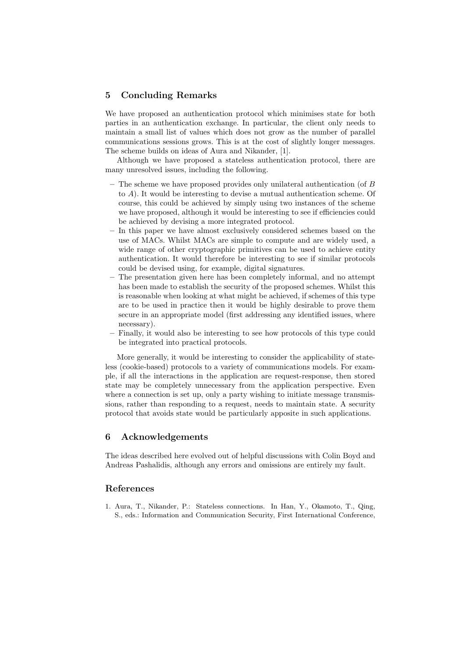# **5 Concluding Remarks**

We have proposed an authentication protocol which minimises state for both parties in an authentication exchange. In particular, the client only needs to maintain a small list of values which does not grow as the number of parallel communications sessions grows. This is at the cost of slightly longer messages. The scheme builds on ideas of Aura and Nikander, [1].

Although we have proposed a stateless authentication protocol, there are many unresolved issues, including the following.

- **–** The scheme we have proposed provides only unilateral authentication (of *B* to *A*). It would be interesting to devise a mutual authentication scheme. Of course, this could be achieved by simply using two instances of the scheme we have proposed, although it would be interesting to see if efficiencies could be achieved by devising a more integrated protocol.
- **–** In this paper we have almost exclusively considered schemes based on the use of MACs. Whilst MACs are simple to compute and are widely used, a wide range of other cryptographic primitives can be used to achieve entity authentication. It would therefore be interesting to see if similar protocols could be devised using, for example, digital signatures.
- **–** The presentation given here has been completely informal, and no attempt has been made to establish the security of the proposed schemes. Whilst this is reasonable when looking at what might be achieved, if schemes of this type are to be used in practice then it would be highly desirable to prove them secure in an appropriate model (first addressing any identified issues, where necessary).
- **–** Finally, it would also be interesting to see how protocols of this type could be integrated into practical protocols.

More generally, it would be interesting to consider the applicability of stateless (cookie-based) protocols to a variety of communications models. For example, if all the interactions in the application are request-response, then stored state may be completely unnecessary from the application perspective. Even where a connection is set up, only a party wishing to initiate message transmissions, rather than responding to a request, needs to maintain state. A security protocol that avoids state would be particularly apposite in such applications.

### **6 Acknowledgements**

The ideas described here evolved out of helpful discussions with Colin Boyd and Andreas Pashalidis, although any errors and omissions are entirely my fault.

### **References**

1. Aura, T., Nikander, P.: Stateless connections. In Han, Y., Okamoto, T., Qing, S., eds.: Information and Communication Security, First International Conference,